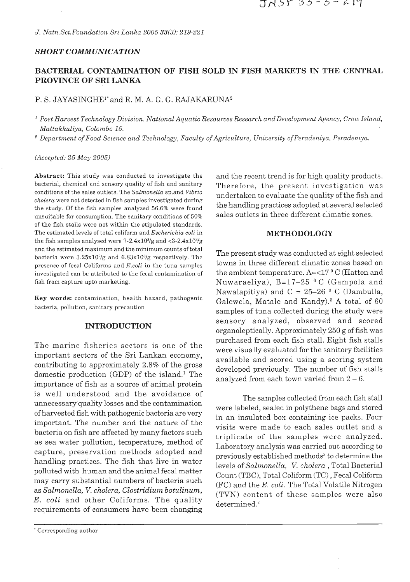## *SHORT COMMUNICATION*

# BACTERIAL CONTAMINATION OF FISH SOLD IN FISH MARKETS IN THE CENTRAL **PROVINCE OF SRI LANKA**

# P. S. JAYASINGHE<sup>1\*</sup> and R. M. A. G. G. RAJAKARUNA<sup>2</sup>

*Post Harvest Technology Division, National Aquatic Resources Research andDeveloprnent Agency, Crow Island, Mattakkuliya, Colombo 15.* 

<sup>2</sup> Department of Food Science and Technology, Faculty of Agriculture, University of Peradeniya, Peradeniya.

## *(Accepted: 25 May 2005)*

bacterial, chemical and sensory quality of fish and sanitary Therefore, the present investigation was<br>conditions of the sales outlets. The Salmonella sp. and Vibrio conditions of the sales outlets. The *Salmonella* sp.and *Vibrio* undertaken to evaluate the quality of the fish and *cholera* were not detected in fish samples investigated during the study. Of the fish samples analyzed 56.6% were found the handling practices adopted at several selected unsuitable for consumption. The sanitary conditions of 50% sales outlets in three different climatic zones. of the fish stalls were not within the stipulated standards. The estimated levels of total coliform and *Escherichia coli* in **n%l3THODOLOGY**  the fish samples analysed were  $7-2.4x10^{3}/g$  and  $<3-2.4x10^{3}/g$ and the estimated maximum and the minimum counts of total bacteria were  $3.25x10^{2}/g$  and  $6.83x10^{8}/g$  respectively. The presence of fecal Coliforms and *E.coli* in the tuna samples investigated can be attributed to the fecal contamination of fish from capture upto marketing.

**Key words:** contamination, health hazard, pathogenic bacteria, pollution, sanitary precaution

## **INTRODUCTION**

The marine fisheries sectors is one of the<br>important sectors of the Sri Lankan economy,<br>contributing to approximately 2.8% of the gross<br>domestic production (GDP) of the island.<sup>1</sup> The<br>importance of fish as a source of ani is well understood and the avoidance of unnecessary quality losses and the contamination ofharvested fish with pathogenic bacteria are very important. The number and the nature of the bacteria on fish are affected by many factors such as sea water pollution, temperature, method of capture, preservation methods adopted and handling practices. The fish that live in water polluted with human and the animal fecal matter may carry substantial numbers of bacteria such as Salmonella, V. cholera, Clostridium botulinum, E. coli and other Coliforms. The quality requirements of consumers have been changing

Abstract: This study was conducted to investigate the and the recent trend is for high quality products.

The present study was conducted at eight selected towns in three different climatic zones based on the ambient temperature.  $A = <17$ <sup>o</sup> C (Hatton and Nuwaraeliya), B=17-25 **O** C (Gampola and Nawalapitiya) and  $C = 25-26$  <sup>0</sup> C (Dambulla, Galewela, Matale and Kandy).<sup>2</sup> A total of 60 samples of tuna collected during the study were sensory analyzed, observed and scored organoleptically. Approximately 250 g of fish was

The samples collected from each fish stall were labeled, sealed in polythene bags and stored in an insulated box containing ice packs. Four visits were made to each sales outlet and a triplicate of the samples were analyzed. Laboratory analysis was carried out according to previously established methods<sup>3</sup> to determine the levels of Salmonella, V. cholera , Total Bacterial Count (TBC), Total Coliform (TC) , Fecal Coliform (FC) and the E. coli. The Total Volatile Nitrogen (TVN) content of these samples were also determined.4

<sup>&#</sup>x27; Corresponding author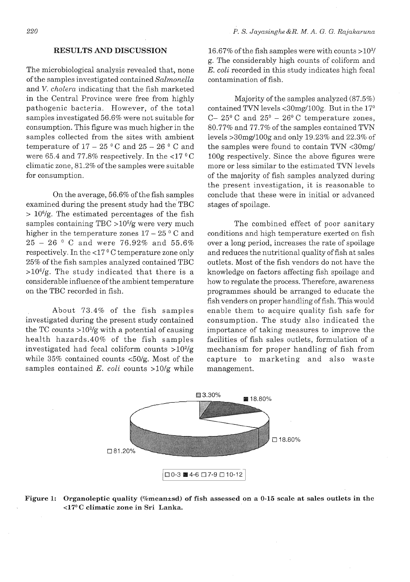## **RESULTS AND DISCUSSION**

The microbiological analysis revealed that, none of the samples investigated contained *Salmonella*  and V. *cholera* indicating that the fish marketed in the Central Province were free from highly pathogenic bacteria. However, of the total samples investigated 56.6% were not suitable for consumption. This figure was much higher in the samples collected from the sites with ambient temperature of  $17 - 25$  °C and  $25 - 26$  °C and were 65.4 and 77.8% respectively. In the  $\langle 17 \, {}^{\circ} \text{C}$ climatic zone, 81.2% of the samples were suitable for consumption.

On the average, 56.6% of the fish samples examined during the present study had the TBC  $> 10<sup>6</sup>/g$ . The estimated percentages of the fish samples containing  $TBC > 10<sup>6</sup>/g$  were very much higher in the temperature zones  $17 - 25$ <sup>o</sup> C and <sup>25</sup>- <sup>26</sup>**O** C and were 76.92% and 55.6% respectively. In the  $<$ 17<sup>°</sup>C temperature zone only 25% of the fish samples analyzed contained TBC  $>10^{6}/g$ . The study indicated that there is a considerable influence of the ambient temperature on the TBC recorded in fish.

About 73.4% of the fish samples investigated during the present study contained the TC counts  $>10^{2}/g$  with a potential of causing health hazards.40% of the fish samples investigated had fecal coliform counts  $>10^{2}/g$ while 35% contained counts <50/g. Most of the samples contained E. *coli* counts >10/g while

16.67% of the fish samples were with counts  $>10^{3}$ / g. The considerably high counts of coliform and E. *coli* recorded in this study indicates high fecal contamination of fish.

Majority of the samples analyzed (87.5%) contained TVN levels  $\langle 30 \text{mg}/100 \text{g}$ . But in the  $17^{\circ}$ C-  $25^{\circ}$  C and  $25^{\circ}$  -  $26^{\circ}$  C temperature zones, 80.77% and 77.7% of the samples contained TVN levels >30mg/100g and only 19.23% and 22.3% of the samples were found to contain TVN <30mg/ 100g respectively. Since the above figures were more or less similar to the estimated TVN levels of the majority of fish samples analyzed during the present investigation, it is reasonable to conclude that these were in initial or advanced stages of spoilage.

The combined effect of poor sanitary conditions and high temperature exerted on fish over a long period, increases the rate of spoilage and reduces the nutritional quality of fish at sales outlets. Most of the fish vendors do not have the knowledge on factors affecting fish spoilage and how to regulate the process. Therefore, awareness programmes should be arranged to educate the fish venders on proper handling of fish. This would enable them to acquire quality fish safe for consumption. The study also indicated the importance of taking measures to improve the facilities of fish sales outlets, formulation of a mechanism for proper handling of fish from capture to marketing and also waste management.



Figure 1: Organoleptic quality (%mean±sd) of fish assessed on a 0-15 scale at sales outlets in the **<17O C climatic zone in Sri Lanka.**